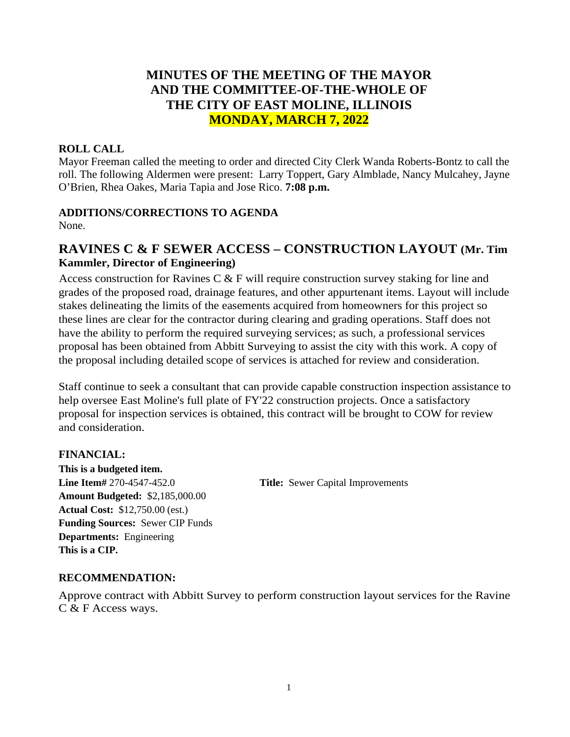# **MINUTES OF THE MEETING OF THE MAYOR AND THE COMMITTEE-OF-THE-WHOLE OF THE CITY OF EAST MOLINE, ILLINOIS MONDAY, MARCH 7, 2022**

#### **ROLL CALL**

Mayor Freeman called the meeting to order and directed City Clerk Wanda Roberts-Bontz to call the roll. The following Aldermen were present: Larry Toppert, Gary Almblade, Nancy Mulcahey, Jayne O'Brien, Rhea Oakes, Maria Tapia and Jose Rico. **7:08 p.m.**

#### **ADDITIONS/CORRECTIONS TO AGENDA**

None.

# **RAVINES C & F SEWER ACCESS – CONSTRUCTION LAYOUT (Mr. Tim Kammler, Director of Engineering)**

Access construction for Ravines C & F will require construction survey staking for line and grades of the proposed road, drainage features, and other appurtenant items. Layout will include stakes delineating the limits of the easements acquired from homeowners for this project so these lines are clear for the contractor during clearing and grading operations. Staff does not have the ability to perform the required surveying services; as such, a professional services proposal has been obtained from Abbitt Surveying to assist the city with this work. A copy of the proposal including detailed scope of services is attached for review and consideration.

Staff continue to seek a consultant that can provide capable construction inspection assistance to help oversee East Moline's full plate of FY'22 construction projects. Once a satisfactory proposal for inspection services is obtained, this contract will be brought to COW for review and consideration.

#### **FINANCIAL:**

**This is a budgeted item. Line Item#** 270-4547-452.0 **Title:** Sewer Capital Improvements **Amount Budgeted:** \$2,185,000.00 **Actual Cost:** \$12,750.00 (est.) **Funding Sources:** Sewer CIP Funds **Departments:** Engineering **This is a CIP.**

### **RECOMMENDATION:**

Approve contract with Abbitt Survey to perform construction layout services for the Ravine C & F Access ways.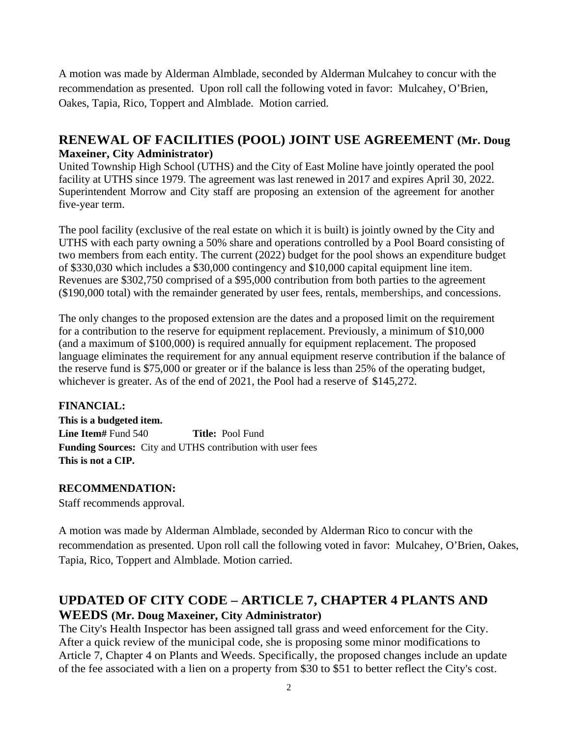A motion was made by Alderman Almblade, seconded by Alderman Mulcahey to concur with the recommendation as presented. Upon roll call the following voted in favor: Mulcahey, O'Brien, Oakes, Tapia, Rico, Toppert and Almblade. Motion carried.

# **RENEWAL OF FACILITIES (POOL) JOINT USE AGREEMENT (Mr. Doug Maxeiner, City Administrator)**

United Township High School (UTHS) and the City of East Moline have jointly operated the pool facility at UTHS since 1979. The agreement was last renewed in 2017 and expires April 30, 2022. Superintendent Morrow and City staff are proposing an extension of the agreement for another five-year term.

The pool facility (exclusive of the real estate on which it is built) is jointly owned by the City and UTHS with each party owning a 50% share and operations controlled by a Pool Board consisting of two members from each entity. The current (2022) budget for the pool shows an expenditure budget of \$330,030 which includes a \$30,000 contingency and \$10,000 capital equipment line item. Revenues are \$302,750 comprised of a \$95,000 contribution from both parties to the agreement (\$190,000 total) with the remainder generated by user fees, rentals, memberships, and concessions.

The only changes to the proposed extension are the dates and a proposed limit on the requirement for a contribution to the reserve for equipment replacement. Previously, a minimum of \$10,000 (and a maximum of \$100,000) is required annually for equipment replacement. The proposed language eliminates the requirement for any annual equipment reserve contribution if the balance of the reserve fund is \$75,000 or greater or if the balance is less than 25% of the operating budget, whichever is greater. As of the end of 2021, the Pool had a reserve of \$145,272.

### **FINANCIAL:**

**This is a budgeted item. Line Item#** Fund 540 **Title:** Pool Fund **Funding Sources:** City and UTHS contribution with user fees **This is not a CIP.**

### **RECOMMENDATION:**

Staff recommends approval.

A motion was made by Alderman Almblade, seconded by Alderman Rico to concur with the recommendation as presented. Upon roll call the following voted in favor: Mulcahey, O'Brien, Oakes, Tapia, Rico, Toppert and Almblade. Motion carried.

# **UPDATED OF CITY CODE – ARTICLE 7, CHAPTER 4 PLANTS AND WEEDS (Mr. Doug Maxeiner, City Administrator)**

The City's Health Inspector has been assigned tall grass and weed enforcement for the City. After a quick review of the municipal code, she is proposing some minor modifications to Article 7, Chapter 4 on Plants and Weeds. Specifically, the proposed changes include an update of the fee associated with a lien on a property from \$30 to \$51 to better reflect the City's cost.